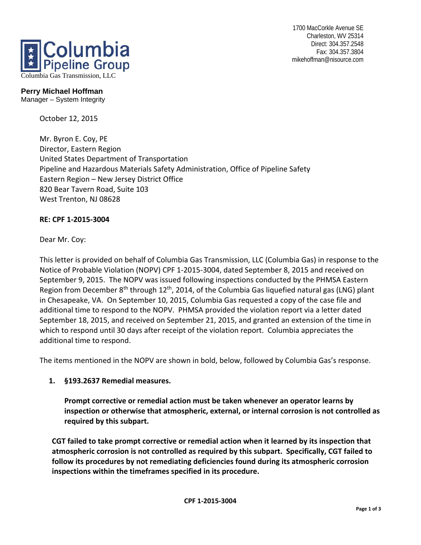1700 MacCorkle Avenue SE Charleston, WV 25314 Direct: 304.357.2548 Fax: 304.357.3804 mikehoffman@nisource.com



## **Perry Michael Hoffman**

Manager – System Integrity

October 12, 2015

Mr. Byron E. Coy, PE Director, Eastern Region United States Department of Transportation Pipeline and Hazardous Materials Safety Administration, Office of Pipeline Safety Eastern Region – New Jersey District Office 820 Bear Tavern Road, Suite 103 West Trenton, NJ 08628

## **RE: CPF 1-2015-3004**

Dear Mr. Coy:

This letter is provided on behalf of Columbia Gas Transmission, LLC (Columbia Gas) in response to the Notice of Probable Violation (NOPV) CPF 1-2015-3004, dated September 8, 2015 and received on September 9, 2015. The NOPV was issued following inspections conducted by the PHMSA Eastern Region from December  $8<sup>th</sup>$  through 12<sup>th</sup>, 2014, of the Columbia Gas liquefied natural gas (LNG) plant in Chesapeake, VA. On September 10, 2015, Columbia Gas requested a copy of the case file and additional time to respond to the NOPV. PHMSA provided the violation report via a letter dated September 18, 2015, and received on September 21, 2015, and granted an extension of the time in which to respond until 30 days after receipt of the violation report. Columbia appreciates the additional time to respond.

The items mentioned in the NOPV are shown in bold, below, followed by Columbia Gas's response.

## **1. §193.2637 Remedial measures.**

**Prompt corrective or remedial action must be taken whenever an operator learns by inspection or otherwise that atmospheric, external, or internal corrosion is not controlled as required by this subpart.** 

**CGT failed to take prompt corrective or remedial action when it learned by its inspection that atmospheric corrosion is not controlled as required by this subpart. Specifically, CGT failed to follow its procedures by not remediating deficiencies found during its atmospheric corrosion inspections within the timeframes specified in its procedure.**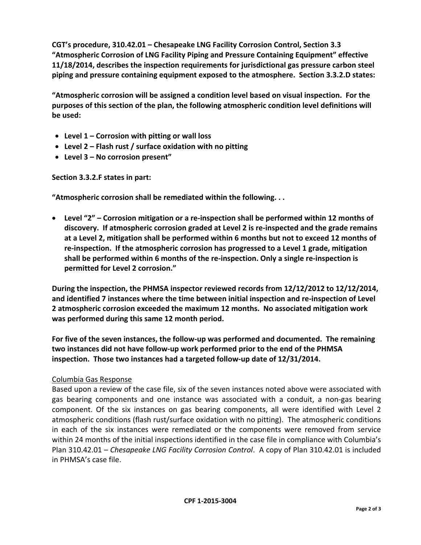**CGT's procedure, 310.42.01 – Chesapeake LNG Facility Corrosion Control, Section 3.3 "Atmospheric Corrosion of LNG Facility Piping and Pressure Containing Equipment" effective 11/18/2014, describes the inspection requirements for jurisdictional gas pressure carbon steel piping and pressure containing equipment exposed to the atmosphere. Section 3.3.2.D states:** 

**"Atmospheric corrosion will be assigned a condition level based on visual inspection. For the purposes of this section of the plan, the following atmospheric condition level definitions will be used:** 

- **Level 1 Corrosion with pitting or wall loss**
- **Level 2 Flash rust / surface oxidation with no pitting**
- **Level 3 No corrosion present"**

**Section 3.3.2.F states in part:** 

**"Atmospheric corrosion shall be remediated within the following. . .** 

 **Level "2" – Corrosion mitigation or a re-inspection shall be performed within 12 months of discovery. If atmospheric corrosion graded at Level 2 is re-inspected and the grade remains at a Level 2, mitigation shall be performed within 6 months but not to exceed 12 months of re-inspection. If the atmospheric corrosion has progressed to a Level 1 grade, mitigation shall be performed within 6 months of the re-inspection. Only a single re-inspection is permitted for Level 2 corrosion."** 

**During the inspection, the PHMSA inspector reviewed records from 12/12/2012 to 12/12/2014, and identified 7 instances where the time between initial inspection and re-inspection of Level 2 atmospheric corrosion exceeded the maximum 12 months. No associated mitigation work was performed during this same 12 month period.** 

**For five of the seven instances, the follow-up was performed and documented. The remaining two instances did not have follow-up work performed prior to the end of the PHMSA inspection. Those two instances had a targeted follow-up date of 12/31/2014.**

## Columbia Gas Response

Based upon a review of the case file, six of the seven instances noted above were associated with gas bearing components and one instance was associated with a conduit, a non-gas bearing component. Of the six instances on gas bearing components, all were identified with Level 2 atmospheric conditions (flash rust/surface oxidation with no pitting). The atmospheric conditions in each of the six instances were remediated or the components were removed from service within 24 months of the initial inspections identified in the case file in compliance with Columbia's Plan 310.42.01 – *Chesapeake LNG Facility Corrosion Control*. A copy of Plan 310.42.01 is included in PHMSA's case file.